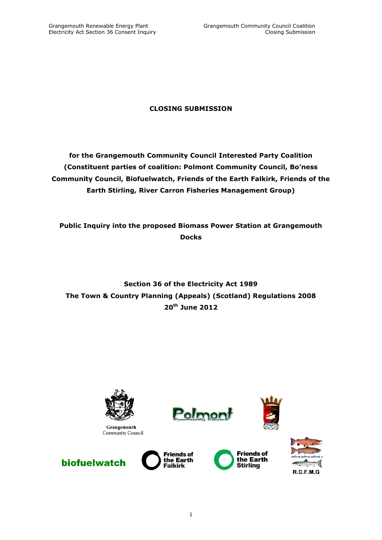# **CLOSING SUBMISSION**

**for the Grangemouth Community Council Interested Party Coalition (Constituent parties of coalition: Polmont Community Council, Bo'ness Community Council, Biofuelwatch, Friends of the Earth Falkirk, Friends of the Earth Stirling, River Carron Fisheries Management Group)**

**Public Inquiry into the proposed Biomass Power Station at Grangemouth Docks**

**Section 36 of the Electricity Act 1989 The Town & Country Planning (Appeals) (Scotland) Regulations 2008 20th June 2012**



**Grangemouth Community Council** 











**Friends of<br>the Earth** 

**Falkirk**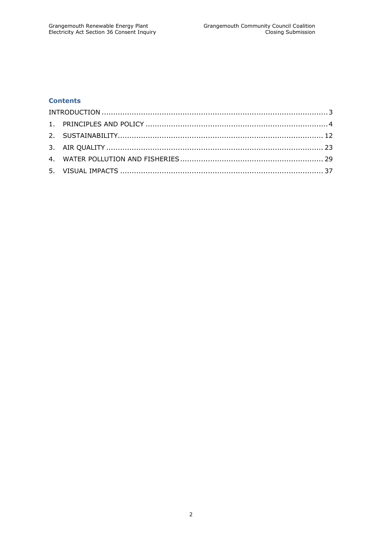# **Contents**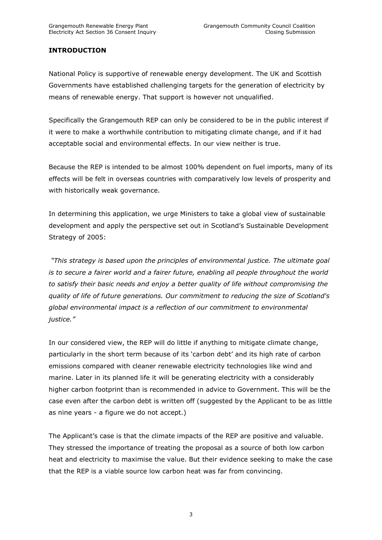# <span id="page-2-0"></span>**INTRODUCTION**

National Policy is supportive of renewable energy development. The UK and Scottish Governments have established challenging targets for the generation of electricity by means of renewable energy. That support is however not unqualified.

Specifically the Grangemouth REP can only be considered to be in the public interest if it were to make a worthwhile contribution to mitigating climate change, and if it had acceptable social and environmental effects. In our view neither is true.

Because the REP is intended to be almost 100% dependent on fuel imports, many of its effects will be felt in overseas countries with comparatively low levels of prosperity and with historically weak governance.

In determining this application, we urge Ministers to take a global view of sustainable development and apply the perspective set out in Scotland"s Sustainable Development Strategy of 2005:

*"This strategy is based upon the principles of environmental justice. The ultimate goal is to secure a fairer world and a fairer future, enabling all people throughout the world to satisfy their basic needs and enjoy a better quality of life without compromising the quality of life of future generations. Our commitment to reducing the size of Scotland's global environmental impact is a reflection of our commitment to environmental justice."*

In our considered view, the REP will do little if anything to mitigate climate change, particularly in the short term because of its "carbon debt" and its high rate of carbon emissions compared with cleaner renewable electricity technologies like wind and marine. Later in its planned life it will be generating electricity with a considerably higher carbon footprint than is recommended in advice to Government. This will be the case even after the carbon debt is written off (suggested by the Applicant to be as little as nine years - a figure we do not accept.)

The Applicant's case is that the climate impacts of the REP are positive and valuable. They stressed the importance of treating the proposal as a source of both low carbon heat and electricity to maximise the value. But their evidence seeking to make the case that the REP is a viable source low carbon heat was far from convincing.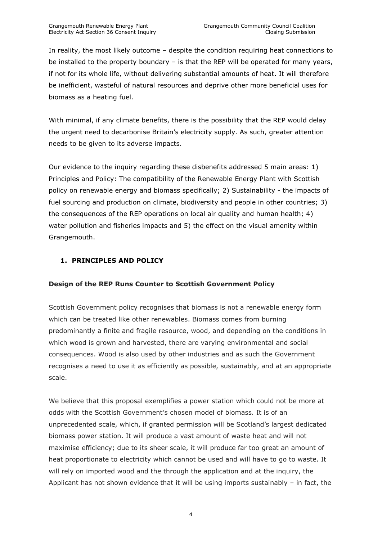In reality, the most likely outcome – despite the condition requiring heat connections to be installed to the property boundary – is that the REP will be operated for many years, if not for its whole life, without delivering substantial amounts of heat. It will therefore be inefficient, wasteful of natural resources and deprive other more beneficial uses for biomass as a heating fuel.

With minimal, if any climate benefits, there is the possibility that the REP would delay the urgent need to decarbonise Britain"s electricity supply. As such, greater attention needs to be given to its adverse impacts.

Our evidence to the inquiry regarding these disbenefits addressed 5 main areas: 1) Principles and Policy: The compatibility of the Renewable Energy Plant with Scottish policy on renewable energy and biomass specifically; 2) Sustainability - the impacts of fuel sourcing and production on climate, biodiversity and people in other countries; 3) the consequences of the REP operations on local air quality and human health; 4) water pollution and fisheries impacts and 5) the effect on the visual amenity within Grangemouth.

# <span id="page-3-0"></span>**1. PRINCIPLES AND POLICY**

#### **Design of the REP Runs Counter to Scottish Government Policy**

Scottish Government policy recognises that biomass is not a renewable energy form which can be treated like other renewables. Biomass comes from burning predominantly a finite and fragile resource, wood, and depending on the conditions in which wood is grown and harvested, there are varying environmental and social consequences. Wood is also used by other industries and as such the Government recognises a need to use it as efficiently as possible, sustainably, and at an appropriate scale.

We believe that this proposal exemplifies a power station which could not be more at odds with the Scottish Government"s chosen model of biomass. It is of an unprecedented scale, which, if granted permission will be Scotland"s largest dedicated biomass power station. It will produce a vast amount of waste heat and will not maximise efficiency; due to its sheer scale, it will produce far too great an amount of heat proportionate to electricity which cannot be used and will have to go to waste. It will rely on imported wood and the through the application and at the inquiry, the Applicant has not shown evidence that it will be using imports sustainably  $-$  in fact, the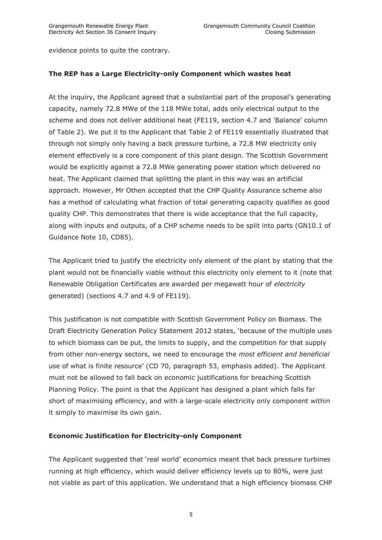evidence points to quite the contrary.

#### **The REP has a Large Electricity-only Component which wastes heat**

At the inquiry, the Applicant agreed that a substantial part of the proposal's generating capacity, namely 72.8 MWe of the 118 MWe total, adds only electrical output to the scheme and does not deliver additional heat (FE119, section 4.7 and 'Balance' column of Table 2). We put it to the Applicant that Table 2 of FE119 essentially illustrated that through not simply only having a back pressure turbine, a 72.8 MW electricity only element effectively is a core component of this plant design. The Scottish Government would be explicitly against a 72.8 MWe generating power station which delivered no heat. The Applicant claimed that splitting the plant in this way was an artificial approach. However, Mr Othen accepted that the CHP Quality Assurance scheme also has a method of calculating what fraction of total generating capacity qualifies as good quality CHP. This demonstrates that there is wide acceptance that the full capacity, along with inputs and outputs, of a CHP scheme needs to be split into parts (GN10.1 of Guidance Note 10, CD85).

The Applicant tried to justify the electricity only element of the plant by stating that the plant would not be financially viable without this electricity only element to it (note that Renewable Obligation Certificates are awarded per megawatt hour of *electricity* generated) (sections 4.7 and 4.9 of FE119).

This justification is not compatible with Scottish Government Policy on Biomass. The Draft Electricity Generation Policy Statement 2012 states, "because of the multiple uses to which biomass can be put, the limits to supply, and the competition for that supply from other non-energy sectors, we need to encourage the *most efficient and beneficial*  use of what is finite resource" (CD 70, paragraph 53, emphasis added). The Applicant must not be allowed to fall back on economic justifications for breaching Scottish Planning Policy. The point is that the Applicant has designed a plant which falls far short of maximising efficiency, and with a large-scale electricity only component within it simply to maximise its own gain.

#### **Economic Justification for Electricity-only Component**

The Applicant suggested that "real world" economics meant that back pressure turbines running at high efficiency, which would deliver efficiency levels up to 80%, were just not viable as part of this application. We understand that a high efficiency biomass CHP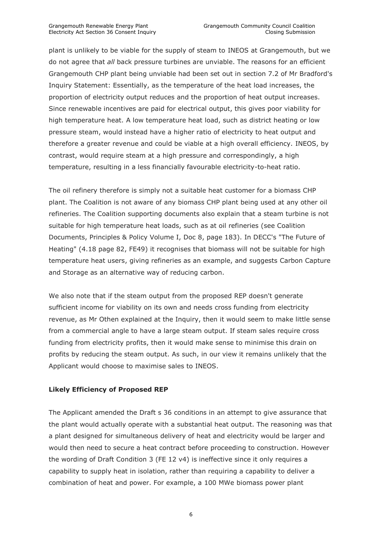plant is unlikely to be viable for the supply of steam to INEOS at Grangemouth, but we do not agree that *all* back pressure turbines are unviable. The reasons for an efficient Grangemouth CHP plant being unviable had been set out in section 7.2 of Mr Bradford's Inquiry Statement: Essentially, as the temperature of the heat load increases, the proportion of electricity output reduces and the proportion of heat output increases. Since renewable incentives are paid for electrical output, this gives poor viability for high temperature heat. A low temperature heat load, such as district heating or low pressure steam, would instead have a higher ratio of electricity to heat output and therefore a greater revenue and could be viable at a high overall efficiency. INEOS, by contrast, would require steam at a high pressure and correspondingly, a high temperature, resulting in a less financially favourable electricity-to-heat ratio.

The oil refinery therefore is simply not a suitable heat customer for a biomass CHP plant. The Coalition is not aware of any biomass CHP plant being used at any other oil refineries. The Coalition supporting documents also explain that a steam turbine is not suitable for high temperature heat loads, such as at oil refineries (see Coalition Documents, Principles & Policy Volume I, Doc 8, page 183). In DECC's "The Future of Heating" (4.18 page 82, FE49) it recognises that biomass will not be suitable for high temperature heat users, giving refineries as an example, and suggests Carbon Capture and Storage as an alternative way of reducing carbon.

We also note that if the steam output from the proposed REP doesn't generate sufficient income for viability on its own and needs cross funding from electricity revenue, as Mr Othen explained at the Inquiry, then it would seem to make little sense from a commercial angle to have a large steam output. If steam sales require cross funding from electricity profits, then it would make sense to minimise this drain on profits by reducing the steam output. As such, in our view it remains unlikely that the Applicant would choose to maximise sales to INEOS.

#### **Likely Efficiency of Proposed REP**

The Applicant amended the Draft s 36 conditions in an attempt to give assurance that the plant would actually operate with a substantial heat output. The reasoning was that a plant designed for simultaneous delivery of heat and electricity would be larger and would then need to secure a heat contract before proceeding to construction. However the wording of Draft Condition 3 (FE 12 v4) is ineffective since it only requires a capability to supply heat in isolation, rather than requiring a capability to deliver a combination of heat and power. For example, a 100 MWe biomass power plant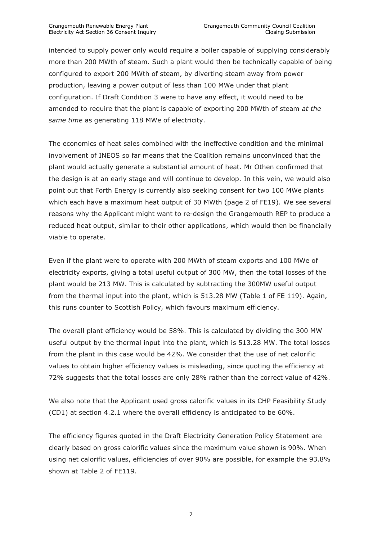intended to supply power only would require a boiler capable of supplying considerably more than 200 MWth of steam. Such a plant would then be technically capable of being configured to export 200 MWth of steam, by diverting steam away from power production, leaving a power output of less than 100 MWe under that plant configuration. If Draft Condition 3 were to have any effect, it would need to be amended to require that the plant is capable of exporting 200 MWth of steam *at the same time* as generating 118 MWe of electricity.

The economics of heat sales combined with the ineffective condition and the minimal involvement of INEOS so far means that the Coalition remains unconvinced that the plant would actually generate a substantial amount of heat. Mr Othen confirmed that the design is at an early stage and will continue to develop. In this vein, we would also point out that Forth Energy is currently also seeking consent for two 100 MWe plants which each have a maximum heat output of 30 MWth (page 2 of FE19). We see several reasons why the Applicant might want to re-design the Grangemouth REP to produce a reduced heat output, similar to their other applications, which would then be financially viable to operate.

Even if the plant were to operate with 200 MWth of steam exports and 100 MWe of electricity exports, giving a total useful output of 300 MW, then the total losses of the plant would be 213 MW. This is calculated by subtracting the 300MW useful output from the thermal input into the plant, which is 513.28 MW (Table 1 of FE 119). Again, this runs counter to Scottish Policy, which favours maximum efficiency.

The overall plant efficiency would be 58%. This is calculated by dividing the 300 MW useful output by the thermal input into the plant, which is 513.28 MW. The total losses from the plant in this case would be 42%. We consider that the use of net calorific values to obtain higher efficiency values is misleading, since quoting the efficiency at 72% suggests that the total losses are only 28% rather than the correct value of 42%.

We also note that the Applicant used gross calorific values in its CHP Feasibility Study (CD1) at section 4.2.1 where the overall efficiency is anticipated to be 60%.

The efficiency figures quoted in the Draft Electricity Generation Policy Statement are clearly based on gross calorific values since the maximum value shown is 90%. When using net calorific values, efficiencies of over 90% are possible, for example the 93.8% shown at Table 2 of FE119.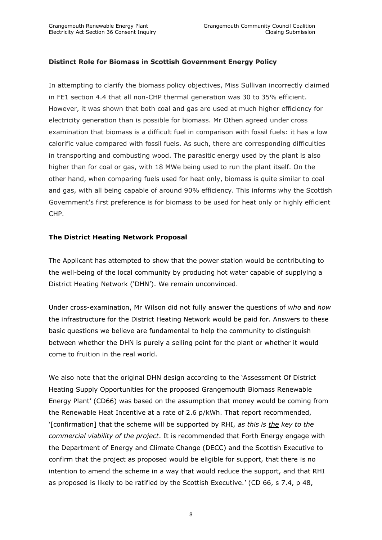# **Distinct Role for Biomass in Scottish Government Energy Policy**

In attempting to clarify the biomass policy objectives, Miss Sullivan incorrectly claimed in FE1 section 4.4 that all non-CHP thermal generation was 30 to 35% efficient. However, it was shown that both coal and gas are used at much higher efficiency for electricity generation than is possible for biomass. Mr Othen agreed under cross examination that biomass is a difficult fuel in comparison with fossil fuels: it has a low calorific value compared with fossil fuels. As such, there are corresponding difficulties in transporting and combusting wood. The parasitic energy used by the plant is also higher than for coal or gas, with 18 MWe being used to run the plant itself. On the other hand, when comparing fuels used for heat only, biomass is quite similar to coal and gas, with all being capable of around 90% efficiency. This informs why the Scottish Government's first preference is for biomass to be used for heat only or highly efficient CHP.

#### **The District Heating Network Proposal**

The Applicant has attempted to show that the power station would be contributing to the well-being of the local community by producing hot water capable of supplying a District Heating Network ("DHN"). We remain unconvinced.

Under cross-examination, Mr Wilson did not fully answer the questions of *who* and *how* the infrastructure for the District Heating Network would be paid for. Answers to these basic questions we believe are fundamental to help the community to distinguish between whether the DHN is purely a selling point for the plant or whether it would come to fruition in the real world.

We also note that the original DHN design according to the 'Assessment Of District Heating Supply Opportunities for the proposed Grangemouth Biomass Renewable Energy Plant" (CD66) was based on the assumption that money would be coming from the Renewable Heat Incentive at a rate of 2.6 p/kWh. That report recommended, "[confirmation] that the scheme will be supported by RHI, *as this is the key to the commercial viability of the project*. It is recommended that Forth Energy engage with the Department of Energy and Climate Change (DECC) and the Scottish Executive to confirm that the project as proposed would be eligible for support, that there is no intention to amend the scheme in a way that would reduce the support, and that RHI as proposed is likely to be ratified by the Scottish Executive." (CD 66, s 7.4, p 48,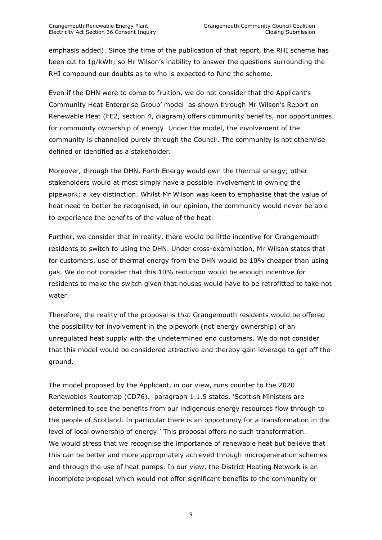emphasis added). Since the time of the publication of that report, the RHI scheme has been cut to 1p/kWh; so Mr Wilson's inability to answer the questions surrounding the RHI compound our doubts as to who is expected to fund the scheme.

Even if the DHN were to come to fruition, we do not consider that the Applicant"s Community Heat Enterprise Group" model as shown through Mr Wilson"s Report on Renewable Heat (FE2, section 4, diagram) offers community benefits, nor opportunities for community ownership of energy. Under the model, the involvement of the community is channelled purely through the Council. The community is not otherwise defined or identified as a stakeholder.

Moreover, through the DHN, Forth Energy would own the thermal energy; other stakeholders would at most simply have a possible involvement in owning the pipework; a key distinction. Whilst Mr Wilson was keen to emphasise that the value of heat need to better be recognised, in our opinion, the community would never be able to experience the benefits of the value of the heat.

Further, we consider that in reality, there would be little incentive for Grangemouth residents to switch to using the DHN. Under cross-examination, Mr Wilson states that for customers, use of thermal energy from the DHN would be 10% cheaper than using gas. We do not consider that this 10% reduction would be enough incentive for residents to make the switch given that houses would have to be retrofitted to take hot water.

Therefore, the reality of the proposal is that Grangemouth residents would be offered the possibility for involvement in the pipework (not energy ownership) of an unregulated heat supply with the undetermined end customers. We do not consider that this model would be considered attractive and thereby gain leverage to get off the ground.

The model proposed by the Applicant, in our view, runs counter to the 2020 Renewables Routemap (CD76). paragraph 1.1.5 states, "Scottish Ministers are determined to see the benefits from our indigenous energy resources flow through to the people of Scotland. In particular there is an opportunity for a transformation in the level of local ownership of energy.' This proposal offers no such transformation. We would stress that we recognise the importance of renewable heat but believe that this can be better and more appropriately achieved through microgeneration schemes and through the use of heat pumps. In our view, the District Heating Network is an incomplete proposal which would not offer significant benefits to the community or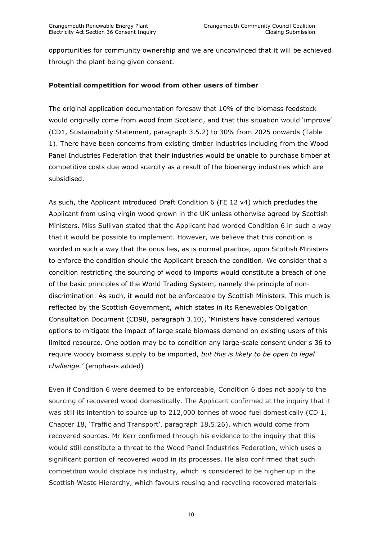opportunities for community ownership and we are unconvinced that it will be achieved through the plant being given consent.

#### **Potential competition for wood from other users of timber**

The original application documentation foresaw that 10% of the biomass feedstock would originally come from wood from Scotland, and that this situation would "improve" (CD1, Sustainability Statement, paragraph 3.5.2) to 30% from 2025 onwards (Table 1). There have been concerns from existing timber industries including from the Wood Panel Industries Federation that their industries would be unable to purchase timber at competitive costs due wood scarcity as a result of the bioenergy industries which are subsidised.

As such, the Applicant introduced Draft Condition 6 (FE 12 v4) which precludes the Applicant from using virgin wood grown in the UK unless otherwise agreed by Scottish Ministers. Miss Sullivan stated that the Applicant had worded Condition 6 in such a way that it would be possible to implement. However, we believe that this condition is worded in such a way that the onus lies, as is normal practice, upon Scottish Ministers to enforce the condition should the Applicant breach the condition. We consider that a condition restricting the sourcing of wood to imports would constitute a breach of one of the basic principles of the World Trading System, namely the principle of nondiscrimination. As such, it would not be enforceable by Scottish Ministers. This much is reflected by the Scottish Government, which states in its Renewables Obligation Consultation Document (CD98, paragraph 3.10), "Ministers have considered various options to mitigate the impact of large scale biomass demand on existing users of this limited resource. One option may be to condition any large-scale consent under s 36 to require woody biomass supply to be imported, *but this is likely to be open to legal challenge."* (emphasis added)

Even if Condition 6 were deemed to be enforceable, Condition 6 does not apply to the sourcing of recovered wood domestically. The Applicant confirmed at the inquiry that it was still its intention to source up to 212,000 tonnes of wood fuel domestically (CD 1, Chapter 18, "Traffic and Transport", paragraph 18.5.26), which would come from recovered sources. Mr Kerr confirmed through his evidence to the inquiry that this would still constitute a threat to the Wood Panel Industries Federation, which uses a significant portion of recovered wood in its processes. He also confirmed that such competition would displace his industry, which is considered to be higher up in the Scottish Waste Hierarchy, which favours reusing and recycling recovered materials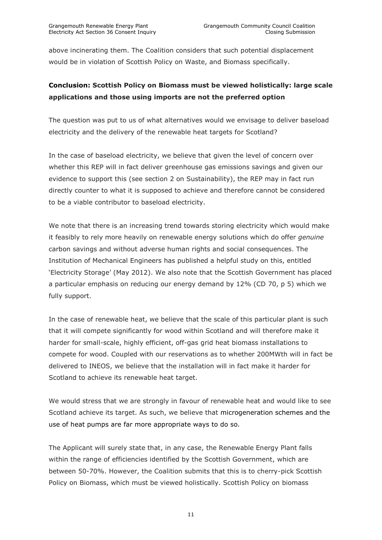above incinerating them. The Coalition considers that such potential displacement would be in violation of Scottish Policy on Waste, and Biomass specifically.

# **Conclusion: Scottish Policy on Biomass must be viewed holistically: large scale applications and those using imports are not the preferred option**

The question was put to us of what alternatives would we envisage to deliver baseload electricity and the delivery of the renewable heat targets for Scotland?

In the case of baseload electricity, we believe that given the level of concern over whether this REP will in fact deliver greenhouse gas emissions savings and given our evidence to support this (see section 2 on Sustainability), the REP may in fact run directly counter to what it is supposed to achieve and therefore cannot be considered to be a viable contributor to baseload electricity.

We note that there is an increasing trend towards storing electricity which would make it feasibly to rely more heavily on renewable energy solutions which do offer *genuine* carbon savings and without adverse human rights and social consequences. The Institution of Mechanical Engineers has published a helpful study on this, entitled "Electricity Storage" (May 2012). We also note that the Scottish Government has placed a particular emphasis on reducing our energy demand by 12% (CD 70, p 5) which we fully support.

In the case of renewable heat, we believe that the scale of this particular plant is such that it will compete significantly for wood within Scotland and will therefore make it harder for small-scale, highly efficient, off-gas grid heat biomass installations to compete for wood. Coupled with our reservations as to whether 200MWth will in fact be delivered to INEOS, we believe that the installation will in fact make it harder for Scotland to achieve its renewable heat target.

We would stress that we are strongly in favour of renewable heat and would like to see Scotland achieve its target. As such, we believe that microgeneration schemes and the use of heat pumps are far more appropriate ways to do so.

The Applicant will surely state that, in any case, the Renewable Energy Plant falls within the range of efficiencies identified by the Scottish Government, which are between 50-70%. However, the Coalition submits that this is to cherry-pick Scottish Policy on Biomass, which must be viewed holistically. Scottish Policy on biomass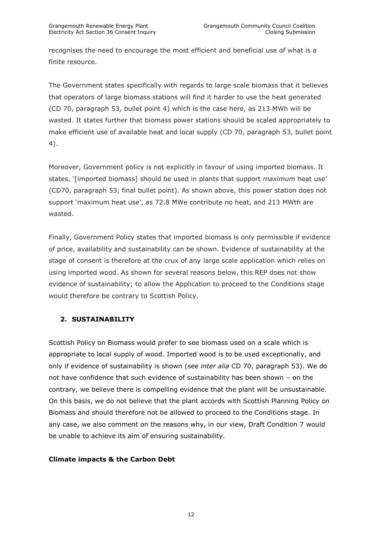recognises the need to encourage the most efficient and beneficial use of what is a finite resource.

The Government states specifically with regards to large scale biomass that it believes that operators of large biomass stations will find it harder to use the heat generated (CD 70, paragraph 53, bullet point 4) which is the case here, as 213 MWh will be wasted. It states further that biomass power stations should be scaled appropriately to make efficient use of available heat and local supply (CD 70, paragraph 53, bullet point 4).

Moreover, Government policy is not explicitly in favour of using imported biomass. It states, "[imported biomass] should be used in plants that support *maximum* heat use" (CD70, paragraph 53, final bullet point). As shown above, this power station does not support 'maximum heat use', as 72.8 MWe contribute no heat, and 213 MWth are wasted.

Finally, Government Policy states that imported biomass is only permissible if evidence of price, availability and sustainability can be shown. Evidence of sustainability at the stage of consent is therefore at the crux of any large scale application which relies on using imported wood. As shown for several reasons below, this REP does not show evidence of sustainability; to allow the Application to proceed to the Conditions stage would therefore be contrary to Scottish Policy.

# <span id="page-11-0"></span>**2. SUSTAINABILITY**

Scottish Policy on Biomass would prefer to see biomass used on a scale which is appropriate to local supply of wood. Imported wood is to be used exceptionally, and only if evidence of sustainability is shown (see *inter alia* CD 70, paragraph 53). We do not have confidence that such evidence of sustainability has been shown – on the contrary, we believe there is compelling evidence that the plant will be unsustainable. On this basis, we do not believe that the plant accords with Scottish Planning Policy on Biomass and should therefore not be allowed to proceed to the Conditions stage. In any case, we also comment on the reasons why, in our view, Draft Condition 7 would be unable to achieve its aim of ensuring sustainability.

#### **Climate impacts & the Carbon Debt**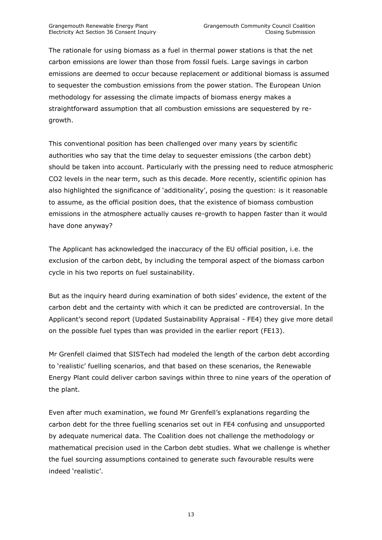The rationale for using biomass as a fuel in thermal power stations is that the net carbon emissions are lower than those from fossil fuels. Large savings in carbon emissions are deemed to occur because replacement or additional biomass is assumed to sequester the combustion emissions from the power station. The European Union methodology for assessing the climate impacts of biomass energy makes a straightforward assumption that all combustion emissions are sequestered by regrowth.

This conventional position has been challenged over many years by scientific authorities who say that the time delay to sequester emissions (the carbon debt) should be taken into account. Particularly with the pressing need to reduce atmospheric CO2 levels in the near term, such as this decade. More recently, scientific opinion has also highlighted the significance of "additionality", posing the question: is it reasonable to assume, as the official position does, that the existence of biomass combustion emissions in the atmosphere actually causes re-growth to happen faster than it would have done anyway?

The Applicant has acknowledged the inaccuracy of the EU official position, i.e. the exclusion of the carbon debt, by including the temporal aspect of the biomass carbon cycle in his two reports on fuel sustainability.

But as the inquiry heard during examination of both sides' evidence, the extent of the carbon debt and the certainty with which it can be predicted are controversial. In the Applicant's second report (Updated Sustainability Appraisal - FE4) they give more detail on the possible fuel types than was provided in the earlier report (FE13).

Mr Grenfell claimed that SISTech had modeled the length of the carbon debt according to "realistic" fuelling scenarios, and that based on these scenarios, the Renewable Energy Plant could deliver carbon savings within three to nine years of the operation of the plant.

Even after much examination, we found Mr Grenfell"s explanations regarding the carbon debt for the three fuelling scenarios set out in FE4 confusing and unsupported by adequate numerical data. The Coalition does not challenge the methodology or mathematical precision used in the Carbon debt studies. What we challenge is whether the fuel sourcing assumptions contained to generate such favourable results were indeed 'realistic'.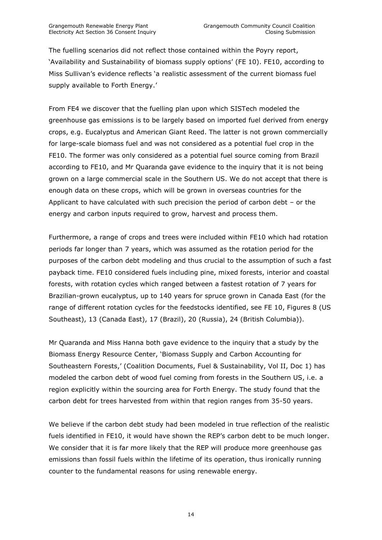The fuelling scenarios did not reflect those contained within the Poyry report, "Availability and Sustainability of biomass supply options" (FE 10). FE10, according to Miss Sullivan"s evidence reflects "a realistic assessment of the current biomass fuel supply available to Forth Energy.'

From FE4 we discover that the fuelling plan upon which SISTech modeled the greenhouse gas emissions is to be largely based on imported fuel derived from energy crops, e.g. Eucalyptus and American Giant Reed. The latter is not grown commercially for large-scale biomass fuel and was not considered as a potential fuel crop in the FE10. The former was only considered as a potential fuel source coming from Brazil according to FE10, and Mr Quaranda gave evidence to the inquiry that it is not being grown on a large commercial scale in the Southern US. We do not accept that there is enough data on these crops, which will be grown in overseas countries for the Applicant to have calculated with such precision the period of carbon debt – or the energy and carbon inputs required to grow, harvest and process them.

Furthermore, a range of crops and trees were included within FE10 which had rotation periods far longer than 7 years, which was assumed as the rotation period for the purposes of the carbon debt modeling and thus crucial to the assumption of such a fast payback time. FE10 considered fuels including pine, mixed forests, interior and coastal forests, with rotation cycles which ranged between a fastest rotation of 7 years for Brazilian-grown eucalyptus, up to 140 years for spruce grown in Canada East (for the range of different rotation cycles for the feedstocks identified, see FE 10, Figures 8 (US Southeast), 13 (Canada East), 17 (Brazil), 20 (Russia), 24 (British Columbia)).

Mr Quaranda and Miss Hanna both gave evidence to the inquiry that a study by the Biomass Energy Resource Center, "Biomass Supply and Carbon Accounting for Southeastern Forests," (Coalition Documents, Fuel & Sustainability, Vol II, Doc 1) has modeled the carbon debt of wood fuel coming from forests in the Southern US, i.e. a region explicitly within the sourcing area for Forth Energy. The study found that the carbon debt for trees harvested from within that region ranges from 35-50 years.

We believe if the carbon debt study had been modeled in true reflection of the realistic fuels identified in FE10, it would have shown the REP"s carbon debt to be much longer. We consider that it is far more likely that the REP will produce more greenhouse gas emissions than fossil fuels within the lifetime of its operation, thus ironically running counter to the fundamental reasons for using renewable energy.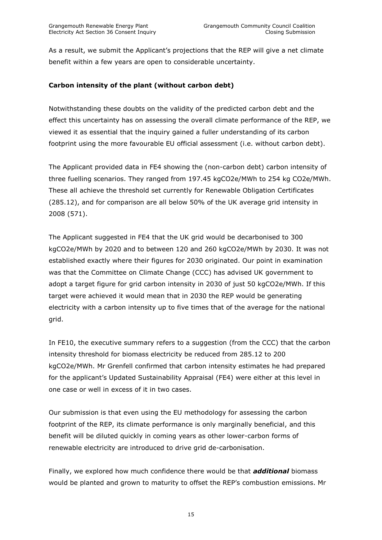As a result, we submit the Applicant's projections that the REP will give a net climate benefit within a few years are open to considerable uncertainty.

# **Carbon intensity of the plant (without carbon debt)**

Notwithstanding these doubts on the validity of the predicted carbon debt and the effect this uncertainty has on assessing the overall climate performance of the REP, we viewed it as essential that the inquiry gained a fuller understanding of its carbon footprint using the more favourable EU official assessment (i.e. without carbon debt).

The Applicant provided data in FE4 showing the (non-carbon debt) carbon intensity of three fuelling scenarios. They ranged from 197.45 kgCO2e/MWh to 254 kg CO2e/MWh. These all achieve the threshold set currently for Renewable Obligation Certificates (285.12), and for comparison are all below 50% of the UK average grid intensity in 2008 (571).

The Applicant suggested in FE4 that the UK grid would be decarbonised to 300 kgCO2e/MWh by 2020 and to between 120 and 260 kgCO2e/MWh by 2030. It was not established exactly where their figures for 2030 originated. Our point in examination was that the Committee on Climate Change (CCC) has advised UK government to adopt a target figure for grid carbon intensity in 2030 of just 50 kgCO2e/MWh. If this target were achieved it would mean that in 2030 the REP would be generating electricity with a carbon intensity up to five times that of the average for the national grid.

In FE10, the executive summary refers to a suggestion (from the CCC) that the carbon intensity threshold for biomass electricity be reduced from 285.12 to 200 kgCO2e/MWh. Mr Grenfell confirmed that carbon intensity estimates he had prepared for the applicant's Updated Sustainability Appraisal (FE4) were either at this level in one case or well in excess of it in two cases.

Our submission is that even using the EU methodology for assessing the carbon footprint of the REP, its climate performance is only marginally beneficial, and this benefit will be diluted quickly in coming years as other lower-carbon forms of renewable electricity are introduced to drive grid de-carbonisation.

Finally, we explored how much confidence there would be that *additional* biomass would be planted and grown to maturity to offset the REP"s combustion emissions. Mr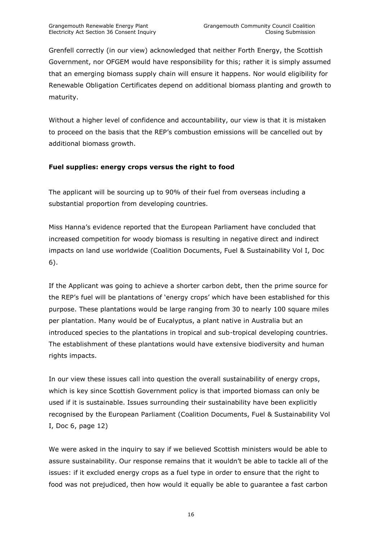Grenfell correctly (in our view) acknowledged that neither Forth Energy, the Scottish Government, nor OFGEM would have responsibility for this; rather it is simply assumed that an emerging biomass supply chain will ensure it happens. Nor would eligibility for Renewable Obligation Certificates depend on additional biomass planting and growth to maturity.

Without a higher level of confidence and accountability, our view is that it is mistaken to proceed on the basis that the REP"s combustion emissions will be cancelled out by additional biomass growth.

# **Fuel supplies: energy crops versus the right to food**

The applicant will be sourcing up to 90% of their fuel from overseas including a substantial proportion from developing countries.

Miss Hanna"s evidence reported that the European Parliament have concluded that increased competition for woody biomass is resulting in negative direct and indirect impacts on land use worldwide (Coalition Documents, Fuel & Sustainability Vol I, Doc 6).

If the Applicant was going to achieve a shorter carbon debt, then the prime source for the REP"s fuel will be plantations of "energy crops" which have been established for this purpose. These plantations would be large ranging from 30 to nearly 100 square miles per plantation. Many would be of Eucalyptus, a plant native in Australia but an introduced species to the plantations in tropical and sub-tropical developing countries. The establishment of these plantations would have extensive biodiversity and human rights impacts.

In our view these issues call into question the overall sustainability of energy crops, which is key since Scottish Government policy is that imported biomass can only be used if it is sustainable. Issues surrounding their sustainability have been explicitly recognised by the European Parliament (Coalition Documents, Fuel & Sustainability Vol I, Doc 6, page 12)

We were asked in the inquiry to say if we believed Scottish ministers would be able to assure sustainability. Our response remains that it wouldn"t be able to tackle all of the issues: if it excluded energy crops as a fuel type in order to ensure that the right to food was not prejudiced, then how would it equally be able to guarantee a fast carbon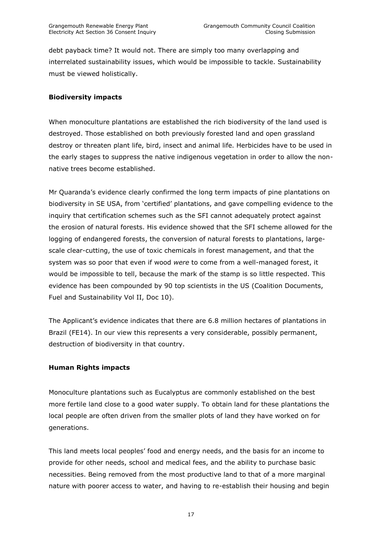debt payback time? It would not. There are simply too many overlapping and interrelated sustainability issues, which would be impossible to tackle. Sustainability must be viewed holistically.

#### **Biodiversity impacts**

When monoculture plantations are established the rich biodiversity of the land used is destroyed. Those established on both previously forested land and open grassland destroy or threaten plant life, bird, insect and animal life. Herbicides have to be used in the early stages to suppress the native indigenous vegetation in order to allow the nonnative trees become established.

Mr Quaranda"s evidence clearly confirmed the long term impacts of pine plantations on biodiversity in SE USA, from "certified" plantations, and gave compelling evidence to the inquiry that certification schemes such as the SFI cannot adequately protect against the erosion of natural forests. His evidence showed that the SFI scheme allowed for the logging of endangered forests, the conversion of natural forests to plantations, largescale clear-cutting, the use of toxic chemicals in forest management, and that the system was so poor that even if wood *were* to come from a well-managed forest, it would be impossible to tell, because the mark of the stamp is so little respected. This evidence has been compounded by 90 top scientists in the US (Coalition Documents, Fuel and Sustainability Vol II, Doc 10).

The Applicant's evidence indicates that there are 6.8 million hectares of plantations in Brazil (FE14). In our view this represents a very considerable, possibly permanent, destruction of biodiversity in that country.

#### **Human Rights impacts**

Monoculture plantations such as Eucalyptus are commonly established on the best more fertile land close to a good water supply. To obtain land for these plantations the local people are often driven from the smaller plots of land they have worked on for generations.

This land meets local peoples" food and energy needs, and the basis for an income to provide for other needs, school and medical fees, and the ability to purchase basic necessities. Being removed from the most productive land to that of a more marginal nature with poorer access to water, and having to re-establish their housing and begin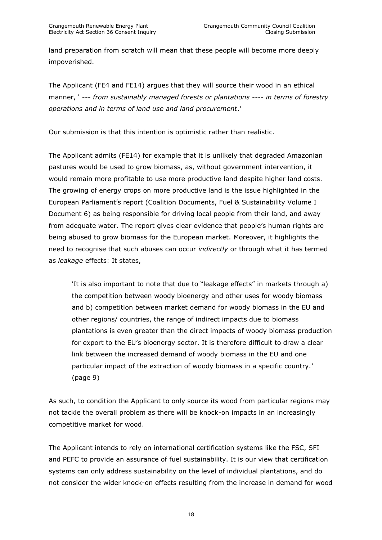land preparation from scratch will mean that these people will become more deeply impoverished.

The Applicant (FE4 and FE14) argues that they will source their wood in an ethical manner, " *--- from sustainably managed forests or plantations ---- in terms of forestry operations and in terms of land use and land procurement*."

Our submission is that this intention is optimistic rather than realistic.

The Applicant admits (FE14) for example that it is unlikely that degraded Amazonian pastures would be used to grow biomass, as, without government intervention, it would remain more profitable to use more productive land despite higher land costs. The growing of energy crops on more productive land is the issue highlighted in the European Parliament"s report (Coalition Documents, Fuel & Sustainability Volume I Document 6) as being responsible for driving local people from their land, and away from adequate water. The report gives clear evidence that people"s human rights are being abused to grow biomass for the European market. Moreover, it highlights the need to recognise that such abuses can occur *indirectly* or through what it has termed as *leakage* effects: It states,

"It is also important to note that due to "leakage effects" in markets through a) the competition between woody bioenergy and other uses for woody biomass and b) competition between market demand for woody biomass in the EU and other regions/ countries, the range of indirect impacts due to biomass plantations is even greater than the direct impacts of woody biomass production for export to the EU"s bioenergy sector. It is therefore difficult to draw a clear link between the increased demand of woody biomass in the EU and one particular impact of the extraction of woody biomass in a specific country.' (page 9)

As such, to condition the Applicant to only source its wood from particular regions may not tackle the overall problem as there will be knock-on impacts in an increasingly competitive market for wood.

The Applicant intends to rely on international certification systems like the FSC, SFI and PEFC to provide an assurance of fuel sustainability. It is our view that certification systems can only address sustainability on the level of individual plantations, and do not consider the wider knock-on effects resulting from the increase in demand for wood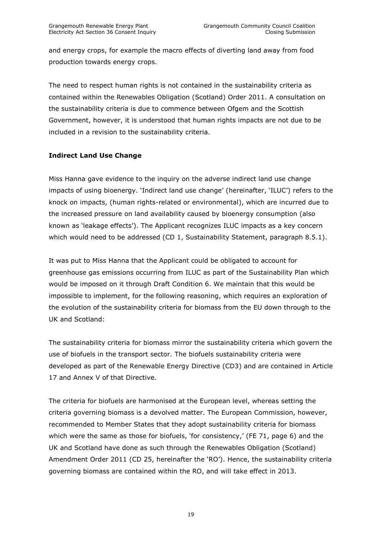and energy crops, for example the macro effects of diverting land away from food production towards energy crops.

The need to respect human rights is not contained in the sustainability criteria as contained within the Renewables Obligation (Scotland) Order 2011. A consultation on the sustainability criteria is due to commence between Ofgem and the Scottish Government, however, it is understood that human rights impacts are not due to be included in a revision to the sustainability criteria.

# **Indirect Land Use Change**

Miss Hanna gave evidence to the inquiry on the adverse indirect land use change impacts of using bioenergy. "Indirect land use change" (hereinafter, "ILUC") refers to the knock on impacts, (human rights-related or environmental), which are incurred due to the increased pressure on land availability caused by bioenergy consumption (also known as "leakage effects"). The Applicant recognizes ILUC impacts as a key concern which would need to be addressed (CD 1, Sustainability Statement, paragraph 8.5.1).

It was put to Miss Hanna that the Applicant could be obligated to account for greenhouse gas emissions occurring from ILUC as part of the Sustainability Plan which would be imposed on it through Draft Condition 6. We maintain that this would be impossible to implement, for the following reasoning, which requires an exploration of the evolution of the sustainability criteria for biomass from the EU down through to the UK and Scotland:

The sustainability criteria for biomass mirror the sustainability criteria which govern the use of biofuels in the transport sector. The biofuels sustainability criteria were developed as part of the Renewable Energy Directive (CD3) and are contained in Article 17 and Annex V of that Directive.

The criteria for biofuels are harmonised at the European level, whereas setting the criteria governing biomass is a devolved matter. The European Commission, however, recommended to Member States that they adopt sustainability criteria for biomass which were the same as those for biofuels, 'for consistency,' (FE 71, page 6) and the UK and Scotland have done as such through the Renewables Obligation (Scotland) Amendment Order 2011 (CD 25, hereinafter the "RO"). Hence, the sustainability criteria governing biomass are contained within the RO, and will take effect in 2013.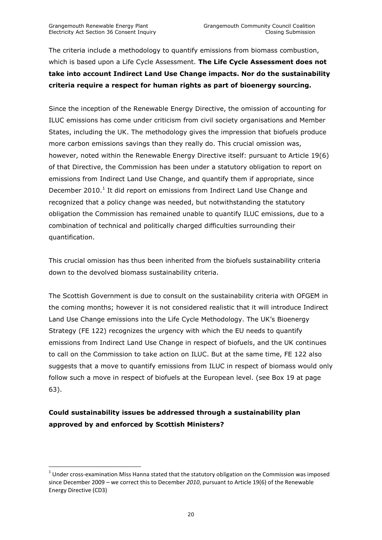The criteria include a methodology to quantify emissions from biomass combustion, which is based upon a Life Cycle Assessment. **The Life Cycle Assessment does not take into account Indirect Land Use Change impacts. Nor do the sustainability criteria require a respect for human rights as part of bioenergy sourcing.**

Since the inception of the Renewable Energy Directive, the omission of accounting for ILUC emissions has come under criticism from civil society organisations and Member States, including the UK. The methodology gives the impression that biofuels produce more carbon emissions savings than they really do. This crucial omission was, however, noted within the Renewable Energy Directive itself: pursuant to Article 19(6) of that Directive, the Commission has been under a statutory obligation to report on emissions from Indirect Land Use Change, and quantify them if appropriate, since December 2010. $<sup>1</sup>$  It did report on emissions from Indirect Land Use Change and</sup> recognized that a policy change was needed, but notwithstanding the statutory obligation the Commission has remained unable to quantify ILUC emissions, due to a combination of technical and politically charged difficulties surrounding their quantification.

This crucial omission has thus been inherited from the biofuels sustainability criteria down to the devolved biomass sustainability criteria.

The Scottish Government is due to consult on the sustainability criteria with OFGEM in the coming months; however it is not considered realistic that it will introduce Indirect Land Use Change emissions into the Life Cycle Methodology. The UK"s Bioenergy Strategy (FE 122) recognizes the urgency with which the EU needs to quantify emissions from Indirect Land Use Change in respect of biofuels, and the UK continues to call on the Commission to take action on ILUC. But at the same time, FE 122 also suggests that a move to quantify emissions from ILUC in respect of biomass would only follow such a move in respect of biofuels at the European level. (see Box 19 at page 63).

# **Could sustainability issues be addressed through a sustainability plan approved by and enforced by Scottish Ministers?**

 $\overline{a}$ 

 $^{1}$  Under cross-examination Miss Hanna stated that the statutory obligation on the Commission was imposed since December 2009 – we correct this to December *2010*, pursuant to Article 19(6) of the Renewable Energy Directive (CD3)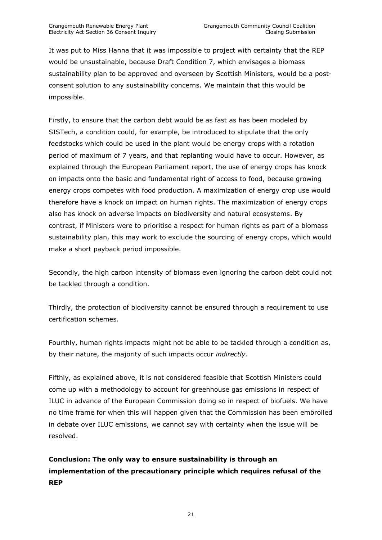It was put to Miss Hanna that it was impossible to project with certainty that the REP would be unsustainable, because Draft Condition 7, which envisages a biomass sustainability plan to be approved and overseen by Scottish Ministers, would be a postconsent solution to any sustainability concerns. We maintain that this would be impossible.

Firstly, to ensure that the carbon debt would be as fast as has been modeled by SISTech, a condition could, for example, be introduced to stipulate that the only feedstocks which could be used in the plant would be energy crops with a rotation period of maximum of 7 years, and that replanting would have to occur. However, as explained through the European Parliament report, the use of energy crops has knock on impacts onto the basic and fundamental right of access to food, because growing energy crops competes with food production. A maximization of energy crop use would therefore have a knock on impact on human rights. The maximization of energy crops also has knock on adverse impacts on biodiversity and natural ecosystems. By contrast, if Ministers were to prioritise a respect for human rights as part of a biomass sustainability plan, this may work to exclude the sourcing of energy crops, which would make a short payback period impossible.

Secondly, the high carbon intensity of biomass even ignoring the carbon debt could not be tackled through a condition.

Thirdly, the protection of biodiversity cannot be ensured through a requirement to use certification schemes.

Fourthly, human rights impacts might not be able to be tackled through a condition as, by their nature, the majority of such impacts occur *indirectly.*

Fifthly, as explained above, it is not considered feasible that Scottish Ministers could come up with a methodology to account for greenhouse gas emissions in respect of ILUC in advance of the European Commission doing so in respect of biofuels. We have no time frame for when this will happen given that the Commission has been embroiled in debate over ILUC emissions, we cannot say with certainty when the issue will be resolved.

# **Conclusion: The only way to ensure sustainability is through an implementation of the precautionary principle which requires refusal of the REP**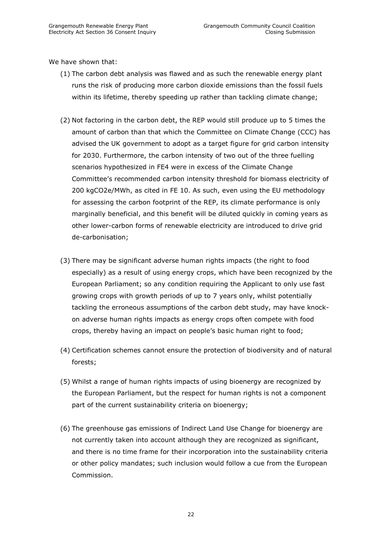We have shown that:

- (1) The carbon debt analysis was flawed and as such the renewable energy plant runs the risk of producing more carbon dioxide emissions than the fossil fuels within its lifetime, thereby speeding up rather than tackling climate change;
- (2) Not factoring in the carbon debt, the REP would still produce up to 5 times the amount of carbon than that which the Committee on Climate Change (CCC) has advised the UK government to adopt as a target figure for grid carbon intensity for 2030. Furthermore, the carbon intensity of two out of the three fuelling scenarios hypothesized in FE4 were in excess of the Climate Change Committee"s recommended carbon intensity threshold for biomass electricity of 200 kgCO2e/MWh, as cited in FE 10. As such, even using the EU methodology for assessing the carbon footprint of the REP, its climate performance is only marginally beneficial, and this benefit will be diluted quickly in coming years as other lower-carbon forms of renewable electricity are introduced to drive grid de-carbonisation;
- (3) There may be significant adverse human rights impacts (the right to food especially) as a result of using energy crops, which have been recognized by the European Parliament; so any condition requiring the Applicant to only use fast growing crops with growth periods of up to 7 years only, whilst potentially tackling the erroneous assumptions of the carbon debt study, may have knockon adverse human rights impacts as energy crops often compete with food crops, thereby having an impact on people"s basic human right to food;
- (4) Certification schemes cannot ensure the protection of biodiversity and of natural forests;
- (5) Whilst a range of human rights impacts of using bioenergy are recognized by the European Parliament, but the respect for human rights is not a component part of the current sustainability criteria on bioenergy;
- (6) The greenhouse gas emissions of Indirect Land Use Change for bioenergy are not currently taken into account although they are recognized as significant, and there is no time frame for their incorporation into the sustainability criteria or other policy mandates; such inclusion would follow a cue from the European Commission.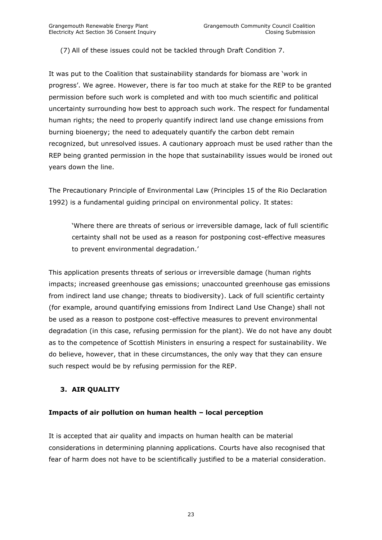(7) All of these issues could not be tackled through Draft Condition 7.

It was put to the Coalition that sustainability standards for biomass are "work in progress". We agree. However, there is far too much at stake for the REP to be granted permission before such work is completed and with too much scientific and political uncertainty surrounding how best to approach such work. The respect for fundamental human rights; the need to properly quantify indirect land use change emissions from burning bioenergy; the need to adequately quantify the carbon debt remain recognized, but unresolved issues. A cautionary approach must be used rather than the REP being granted permission in the hope that sustainability issues would be ironed out years down the line.

The Precautionary Principle of Environmental Law (Principles 15 of the Rio Declaration 1992) is a fundamental guiding principal on environmental policy. It states:

"Where there are threats of serious or irreversible damage, lack of full scientific certainty shall not be used as a reason for postponing cost-effective measures to prevent environmental degradation.'

This application presents threats of serious or irreversible damage (human rights impacts; increased greenhouse gas emissions; unaccounted greenhouse gas emissions from indirect land use change; threats to biodiversity). Lack of full scientific certainty (for example, around quantifying emissions from Indirect Land Use Change) shall not be used as a reason to postpone cost-effective measures to prevent environmental degradation (in this case, refusing permission for the plant). We do not have any doubt as to the competence of Scottish Ministers in ensuring a respect for sustainability. We do believe, however, that in these circumstances, the only way that they can ensure such respect would be by refusing permission for the REP.

# <span id="page-22-0"></span>**3. AIR QUALITY**

#### **Impacts of air pollution on human health – local perception**

It is accepted that air quality and impacts on human health can be material considerations in determining planning applications. Courts have also recognised that fear of harm does not have to be scientifically justified to be a material consideration.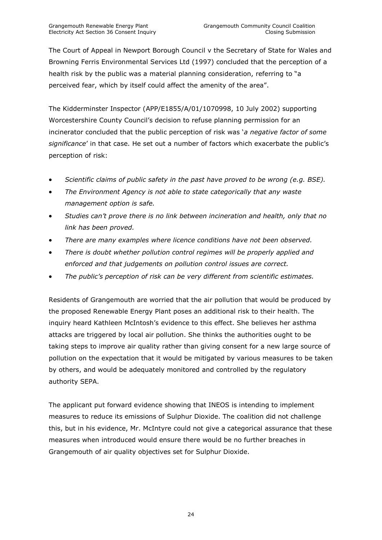The Court of Appeal in Newport Borough Council v the Secretary of State for Wales and Browning Ferris Environmental Services Ltd (1997) concluded that the perception of a health risk by the public was a material planning consideration, referring to "a perceived fear, which by itself could affect the amenity of the area".

The Kidderminster Inspector (APP/E1855/A/01/1070998, 10 July 2002) supporting Worcestershire County Council"s decision to refuse planning permission for an incinerator concluded that the public perception of risk was "*a negative factor of some significance*" in that case. He set out a number of factors which exacerbate the public"s perception of risk:

- *Scientific claims of public safety in the past have proved to be wrong (e.g. BSE).*
- *The Environment Agency is not able to state categorically that any waste management option is safe.*
- *Studies can"t prove there is no link between incineration and health, only that no link has been proved.*
- *There are many examples where licence conditions have not been observed.*
- *There is doubt whether pollution control regimes will be properly applied and enforced and that judgements on pollution control issues are correct.*
- *The public"s perception of risk can be very different from scientific estimates.*

Residents of Grangemouth are worried that the air pollution that would be produced by the proposed Renewable Energy Plant poses an additional risk to their health. The inquiry heard Kathleen McIntosh"s evidence to this effect. She believes her asthma attacks are triggered by local air pollution. She thinks the authorities ought to be taking steps to improve air quality rather than giving consent for a new large source of pollution on the expectation that it would be mitigated by various measures to be taken by others, and would be adequately monitored and controlled by the regulatory authority SEPA.

The applicant put forward evidence showing that INEOS is intending to implement measures to reduce its emissions of Sulphur Dioxide. The coalition did not challenge this, but in his evidence, Mr. McIntyre could not give a categorical assurance that these measures when introduced would ensure there would be no further breaches in Grangemouth of air quality objectives set for Sulphur Dioxide.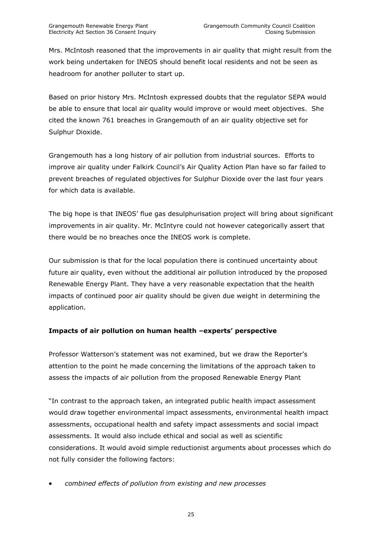Mrs. McIntosh reasoned that the improvements in air quality that might result from the work being undertaken for INEOS should benefit local residents and not be seen as headroom for another polluter to start up.

Based on prior history Mrs. McIntosh expressed doubts that the regulator SEPA would be able to ensure that local air quality would improve or would meet objectives. She cited the known 761 breaches in Grangemouth of an air quality objective set for Sulphur Dioxide.

Grangemouth has a long history of air pollution from industrial sources. Efforts to improve air quality under Falkirk Council"s Air Quality Action Plan have so far failed to prevent breaches of regulated objectives for Sulphur Dioxide over the last four years for which data is available.

The big hope is that INEOS" flue gas desulphurisation project will bring about significant improvements in air quality. Mr. McIntyre could not however categorically assert that there would be no breaches once the INEOS work is complete.

Our submission is that for the local population there is continued uncertainty about future air quality, even without the additional air pollution introduced by the proposed Renewable Energy Plant. They have a very reasonable expectation that the health impacts of continued poor air quality should be given due weight in determining the application.

# **Impacts of air pollution on human health –experts' perspective**

Professor Watterson"s statement was not examined, but we draw the Reporter"s attention to the point he made concerning the limitations of the approach taken to assess the impacts of air pollution from the proposed Renewable Energy Plant

"In contrast to the approach taken, an integrated public health impact assessment would draw together environmental impact assessments, environmental health impact assessments, occupational health and safety impact assessments and social impact assessments. It would also include ethical and social as well as scientific considerations. It would avoid simple reductionist arguments about processes which do not fully consider the following factors:

*combined effects of pollution from existing and new processes*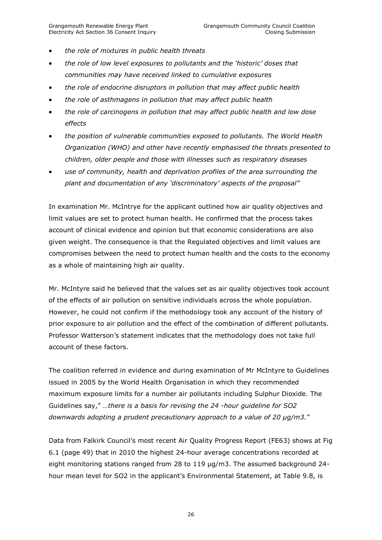- *the role of mixtures in public health threats*
- *the role of low level exposures to pollutants and the "historic" doses that communities may have received linked to cumulative exposures*
- *the role of endocrine disruptors in pollution that may affect public health*
- *the role of asthmagens in pollution that may affect public health*
- *the role of carcinogens in pollution that may affect public health and low dose effects*
- *the position of vulnerable communities exposed to pollutants. The World Health Organization (WHO) and other have recently emphasised the threats presented to children, older people and those with illnesses such as respiratory diseases*
- *use of community, health and deprivation profiles of the area surrounding the plant and documentation of any "discriminatory" aspects of the proposal"*

In examination Mr. McIntrye for the applicant outlined how air quality objectives and limit values are set to protect human health. He confirmed that the process takes account of clinical evidence and opinion but that economic considerations are also given weight. The consequence is that the Regulated objectives and limit values are compromises between the need to protect human health and the costs to the economy as a whole of maintaining high air quality.

Mr. McIntyre said he believed that the values set as air quality objectives took account of the effects of air pollution on sensitive individuals across the whole population. However, he could not confirm if the methodology took any account of the history of prior exposure to air pollution and the effect of the combination of different pollutants. Professor Watterson"s statement indicates that the methodology does not take full account of these factors.

The coalition referred in evidence and during examination of Mr McIntyre to Guidelines issued in 2005 by the World Health Organisation in which they recommended maximum exposure limits for a number air pollutants including Sulphur Dioxide. The Guidelines say," *…there is a basis for revising the 24 -hour guideline for SO2 downwards adopting a prudent precautionary approach to a value of 20 μg/m3.*"

Data from Falkirk Council's most recent Air Quality Progress Report (FE63) shows at Fig 6.1 (page 49) that in 2010 the highest 24-hour average concentrations recorded at eight monitoring stations ranged from 28 to 119 μg/m3. The assumed background 24 hour mean level for SO2 in the applicant's Environmental Statement, at Table 9.8, is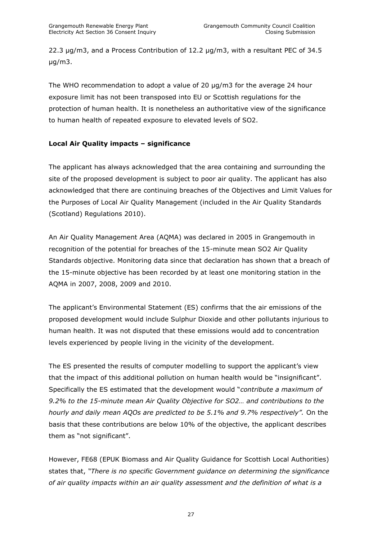22.3 μg/m3, and a Process Contribution of 12.2 μg/m3, with a resultant PEC of 34.5 μg/m3.

The WHO recommendation to adopt a value of 20 μg/m3 for the average 24 hour exposure limit has not been transposed into EU or Scottish regulations for the protection of human health. It is nonetheless an authoritative view of the significance to human health of repeated exposure to elevated levels of SO2.

# **Local Air Quality impacts – significance**

The applicant has always acknowledged that the area containing and surrounding the site of the proposed development is subject to poor air quality. The applicant has also acknowledged that there are continuing breaches of the Objectives and Limit Values for the Purposes of Local Air Quality Management (included in the Air Quality Standards (Scotland) Regulations 2010).

An Air Quality Management Area (AQMA) was declared in 2005 in Grangemouth in recognition of the potential for breaches of the 15-minute mean SO2 Air Quality Standards objective. Monitoring data since that declaration has shown that a breach of the 15-minute objective has been recorded by at least one monitoring station in the AQMA in 2007, 2008, 2009 and 2010.

The applicant"s Environmental Statement (ES) confirms that the air emissions of the proposed development would include Sulphur Dioxide and other pollutants injurious to human health. It was not disputed that these emissions would add to concentration levels experienced by people living in the vicinity of the development.

The ES presented the results of computer modelling to support the applicant's view that the impact of this additional pollution on human health would be "insignificant". Specifically the ES estimated that the development would "*contribute a maximum of 9.2% to the 15-minute mean Air Quality Objective for SO2… and contributions to the hourly and daily mean AQOs are predicted to be 5.1% and 9.7% respectively".* On the basis that these contributions are below 10% of the objective, the applicant describes them as "not significant".

However, FE68 (EPUK Biomass and Air Quality Guidance for Scottish Local Authorities) states that, *"There is no specific Government guidance on determining the significance of air quality impacts within an air quality assessment and the definition of what is a*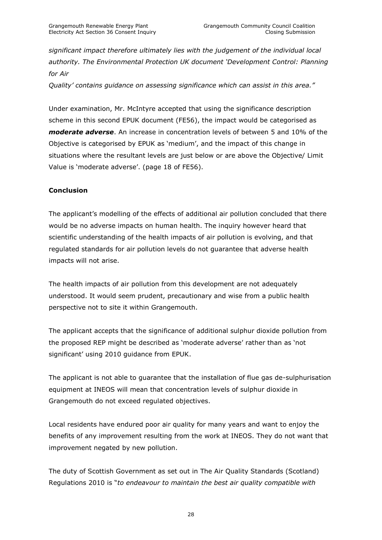*significant impact therefore ultimately lies with the judgement of the individual local authority. The Environmental Protection UK document "Development Control: Planning for Air*

*Quality" contains guidance on assessing significance which can assist in this area."*

Under examination, Mr. McIntyre accepted that using the significance description scheme in this second EPUK document (FE56), the impact would be categorised as *moderate adverse*. An increase in concentration levels of between 5 and 10% of the Objective is categorised by EPUK as "medium", and the impact of this change in situations where the resultant levels are just below or are above the Objective/ Limit Value is 'moderate adverse'. (page 18 of FE56).

#### **Conclusion**

The applicant"s modelling of the effects of additional air pollution concluded that there would be no adverse impacts on human health. The inquiry however heard that scientific understanding of the health impacts of air pollution is evolving, and that regulated standards for air pollution levels do not guarantee that adverse health impacts will not arise.

The health impacts of air pollution from this development are not adequately understood. It would seem prudent, precautionary and wise from a public health perspective not to site it within Grangemouth.

The applicant accepts that the significance of additional sulphur dioxide pollution from the proposed REP might be described as "moderate adverse" rather than as "not significant' using 2010 guidance from EPUK.

The applicant is not able to guarantee that the installation of flue gas de-sulphurisation equipment at INEOS will mean that concentration levels of sulphur dioxide in Grangemouth do not exceed regulated objectives.

Local residents have endured poor air quality for many years and want to enjoy the benefits of any improvement resulting from the work at INEOS. They do not want that improvement negated by new pollution.

The duty of Scottish Government as set out in The Air Quality Standards (Scotland) Regulations 2010 is "*to endeavour to maintain the best air quality compatible with*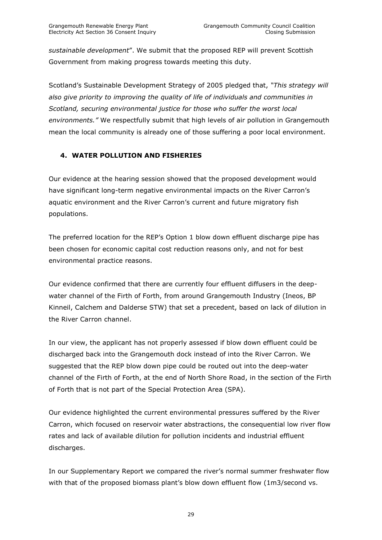*sustainable development*". We submit that the proposed REP will prevent Scottish Government from making progress towards meeting this duty.

Scotland"s Sustainable Development Strategy of 2005 pledged that, *"This strategy will also give priority to improving the quality of life of individuals and communities in Scotland, securing environmental justice for those who suffer the worst local environments."* We respectfully submit that high levels of air pollution in Grangemouth mean the local community is already one of those suffering a poor local environment.

# <span id="page-28-0"></span>**4. WATER POLLUTION AND FISHERIES**

Our evidence at the hearing session showed that the proposed development would have significant long-term negative environmental impacts on the River Carron"s aquatic environment and the River Carron's current and future migratory fish populations.

The preferred location for the REP"s Option 1 blow down effluent discharge pipe has been chosen for economic capital cost reduction reasons only, and not for best environmental practice reasons.

Our evidence confirmed that there are currently four effluent diffusers in the deepwater channel of the Firth of Forth, from around Grangemouth Industry (Ineos, BP Kinneil, Calchem and Dalderse STW) that set a precedent, based on lack of dilution in the River Carron channel.

In our view, the applicant has not properly assessed if blow down effluent could be discharged back into the Grangemouth dock instead of into the River Carron. We suggested that the REP blow down pipe could be routed out into the deep-water channel of the Firth of Forth, at the end of North Shore Road, in the section of the Firth of Forth that is not part of the Special Protection Area (SPA).

Our evidence highlighted the current environmental pressures suffered by the River Carron, which focused on reservoir water abstractions, the consequential low river flow rates and lack of available dilution for pollution incidents and industrial effluent discharges.

In our Supplementary Report we compared the river"s normal summer freshwater flow with that of the proposed biomass plant's blow down effluent flow (1m3/second vs.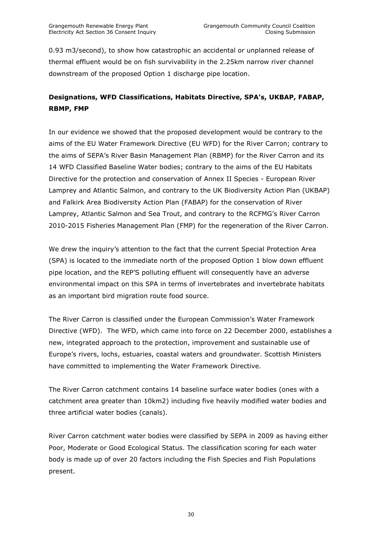0.93 m3/second), to show how catastrophic an accidental or unplanned release of thermal effluent would be on fish survivability in the 2.25km narrow river channel downstream of the proposed Option 1 discharge pipe location.

# **Designations, WFD Classifications, Habitats Directive, SPA's, UKBAP, FABAP, RBMP, FMP**

In our evidence we showed that the proposed development would be contrary to the aims of the EU Water Framework Directive (EU WFD) for the River Carron; contrary to the aims of SEPA's River Basin Management Plan (RBMP) for the River Carron and its 14 WFD Classified Baseline Water bodies; contrary to the aims of the EU Habitats Directive for the protection and conservation of Annex II Species - European River Lamprey and Atlantic Salmon, and contrary to the UK Biodiversity Action Plan (UKBAP) and Falkirk Area Biodiversity Action Plan (FABAP) for the conservation of River Lamprey, Atlantic Salmon and Sea Trout, and contrary to the RCFMG"s River Carron 2010-2015 Fisheries Management Plan (FMP) for the regeneration of the River Carron.

We drew the inquiry's attention to the fact that the current Special Protection Area (SPA) is located to the immediate north of the proposed Option 1 blow down effluent pipe location, and the REP"S polluting effluent will consequently have an adverse environmental impact on this SPA in terms of invertebrates and invertebrate habitats as an important bird migration route food source.

The River Carron is classified under the European Commission"s Water Framework Directive (WFD). The WFD, which came into force on 22 December 2000, establishes a new, integrated approach to the protection, improvement and sustainable use of Europe"s rivers, lochs, estuaries, coastal waters and groundwater. Scottish Ministers have committed to implementing the Water Framework Directive.

The River Carron catchment contains 14 baseline surface water bodies (ones with a catchment area greater than 10km2) including five heavily modified water bodies and three artificial water bodies (canals).

River Carron catchment water bodies were classified by SEPA in 2009 as having either Poor, Moderate or Good Ecological Status. The classification scoring for each water body is made up of over 20 factors including the Fish Species and Fish Populations present.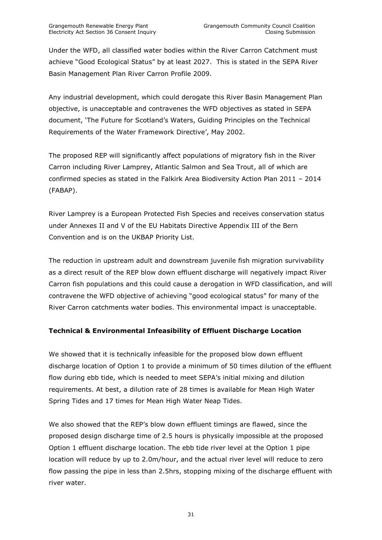Under the WFD, all classified water bodies within the River Carron Catchment must achieve "Good Ecological Status" by at least 2027. This is stated in the SEPA River Basin Management Plan River Carron Profile 2009.

Any industrial development, which could derogate this River Basin Management Plan objective, is unacceptable and contravenes the WFD objectives as stated in SEPA document, "The Future for Scotland"s Waters, Guiding Principles on the Technical Requirements of the Water Framework Directive', May 2002.

The proposed REP will significantly affect populations of migratory fish in the River Carron including River Lamprey, Atlantic Salmon and Sea Trout, all of which are confirmed species as stated in the Falkirk Area Biodiversity Action Plan 2011 – 2014 (FABAP).

River Lamprey is a European Protected Fish Species and receives conservation status under Annexes II and V of the EU Habitats Directive Appendix III of the Bern Convention and is on the UKBAP Priority List.

The reduction in upstream adult and downstream juvenile fish migration survivability as a direct result of the REP blow down effluent discharge will negatively impact River Carron fish populations and this could cause a derogation in WFD classification, and will contravene the WFD objective of achieving "good ecological status" for many of the River Carron catchments water bodies. This environmental impact is unacceptable.

# **Technical & Environmental Infeasibility of Effluent Discharge Location**

We showed that it is technically infeasible for the proposed blow down effluent discharge location of Option 1 to provide a minimum of 50 times dilution of the effluent flow during ebb tide, which is needed to meet SEPA"s initial mixing and dilution requirements. At best, a dilution rate of 28 times is available for Mean High Water Spring Tides and 17 times for Mean High Water Neap Tides.

We also showed that the REP's blow down effluent timings are flawed, since the proposed design discharge time of 2.5 hours is physically impossible at the proposed Option 1 effluent discharge location. The ebb tide river level at the Option 1 pipe location will reduce by up to 2.0m/hour, and the actual river level will reduce to zero flow passing the pipe in less than 2.5hrs, stopping mixing of the discharge effluent with river water.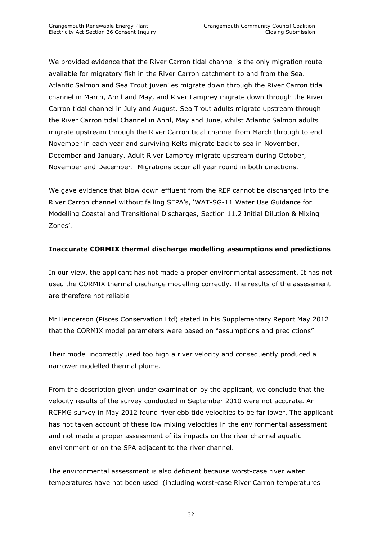We provided evidence that the River Carron tidal channel is the only migration route available for migratory fish in the River Carron catchment to and from the Sea. Atlantic Salmon and Sea Trout juveniles migrate down through the River Carron tidal channel in March, April and May, and River Lamprey migrate down through the River Carron tidal channel in July and August. Sea Trout adults migrate upstream through the River Carron tidal Channel in April, May and June, whilst Atlantic Salmon adults migrate upstream through the River Carron tidal channel from March through to end November in each year and surviving Kelts migrate back to sea in November, December and January. Adult River Lamprey migrate upstream during October, November and December. Migrations occur all year round in both directions.

We gave evidence that blow down effluent from the REP cannot be discharged into the River Carron channel without failing SEPA"s, "WAT-SG-11 Water Use Guidance for Modelling Coastal and Transitional Discharges, Section 11.2 Initial Dilution & Mixing Zones'.

# **Inaccurate CORMIX thermal discharge modelling assumptions and predictions**

In our view, the applicant has not made a proper environmental assessment. It has not used the CORMIX thermal discharge modelling correctly. The results of the assessment are therefore not reliable

Mr Henderson (Pisces Conservation Ltd) stated in his Supplementary Report May 2012 that the CORMIX model parameters were based on "assumptions and predictions"

Their model incorrectly used too high a river velocity and consequently produced a narrower modelled thermal plume.

From the description given under examination by the applicant, we conclude that the velocity results of the survey conducted in September 2010 were not accurate. An RCFMG survey in May 2012 found river ebb tide velocities to be far lower. The applicant has not taken account of these low mixing velocities in the environmental assessment and not made a proper assessment of its impacts on the river channel aquatic environment or on the SPA adjacent to the river channel.

The environmental assessment is also deficient because worst-case river water temperatures have not been used (including worst-case River Carron temperatures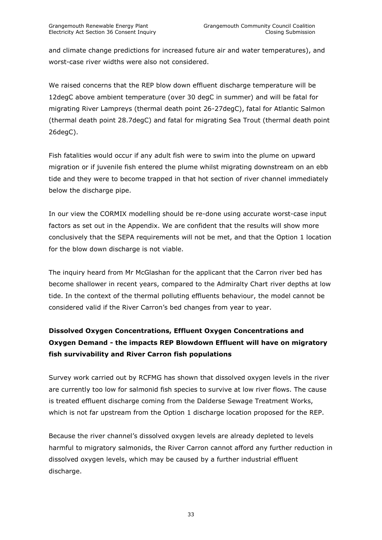and climate change predictions for increased future air and water temperatures), and worst-case river widths were also not considered.

We raised concerns that the REP blow down effluent discharge temperature will be 12degC above ambient temperature (over 30 degC in summer) and will be fatal for migrating River Lampreys (thermal death point 26-27degC), fatal for Atlantic Salmon (thermal death point 28.7degC) and fatal for migrating Sea Trout (thermal death point 26degC).

Fish fatalities would occur if any adult fish were to swim into the plume on upward migration or if juvenile fish entered the plume whilst migrating downstream on an ebb tide and they were to become trapped in that hot section of river channel immediately below the discharge pipe.

In our view the CORMIX modelling should be re-done using accurate worst-case input factors as set out in the Appendix. We are confident that the results will show more conclusively that the SEPA requirements will not be met, and that the Option 1 location for the blow down discharge is not viable.

The inquiry heard from Mr McGlashan for the applicant that the Carron river bed has become shallower in recent years, compared to the Admiralty Chart river depths at low tide. In the context of the thermal polluting effluents behaviour, the model cannot be considered valid if the River Carron's bed changes from year to year.

# **Dissolved Oxygen Concentrations, Effluent Oxygen Concentrations and Oxygen Demand - the impacts REP Blowdown Effluent will have on migratory fish survivability and River Carron fish populations**

Survey work carried out by RCFMG has shown that dissolved oxygen levels in the river are currently too low for salmonid fish species to survive at low river flows. The cause is treated effluent discharge coming from the Dalderse Sewage Treatment Works, which is not far upstream from the Option 1 discharge location proposed for the REP.

Because the river channel"s dissolved oxygen levels are already depleted to levels harmful to migratory salmonids, the River Carron cannot afford any further reduction in dissolved oxygen levels, which may be caused by a further industrial effluent discharge.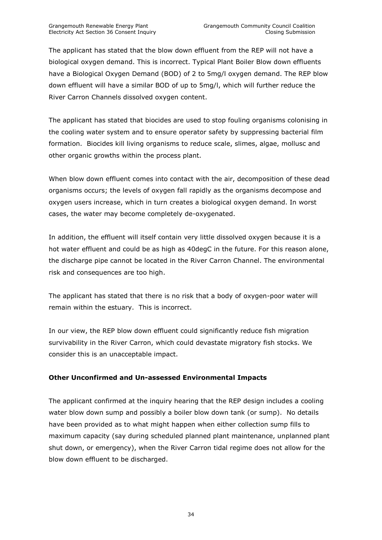The applicant has stated that the blow down effluent from the REP will not have a biological oxygen demand. This is incorrect. Typical Plant Boiler Blow down effluents have a Biological Oxygen Demand (BOD) of 2 to 5mg/l oxygen demand. The REP blow down effluent will have a similar BOD of up to 5mg/l, which will further reduce the River Carron Channels dissolved oxygen content.

The applicant has stated that biocides are used to stop fouling organisms colonising in the cooling water system and to ensure operator safety by suppressing bacterial film formation. Biocides kill living organisms to reduce scale, slimes, algae, mollusc and other organic growths within the process plant.

When blow down effluent comes into contact with the air, decomposition of these dead organisms occurs; the levels of oxygen fall rapidly as the organisms decompose and oxygen users increase, which in turn creates a biological oxygen demand. In worst cases, the water may become completely de-oxygenated.

In addition, the effluent will itself contain very little dissolved oxygen because it is a hot water effluent and could be as high as 40degC in the future. For this reason alone, the discharge pipe cannot be located in the River Carron Channel. The environmental risk and consequences are too high.

The applicant has stated that there is no risk that a body of oxygen-poor water will remain within the estuary. This is incorrect.

In our view, the REP blow down effluent could significantly reduce fish migration survivability in the River Carron, which could devastate migratory fish stocks. We consider this is an unacceptable impact.

#### **Other Unconfirmed and Un-assessed Environmental Impacts**

The applicant confirmed at the inquiry hearing that the REP design includes a cooling water blow down sump and possibly a boiler blow down tank (or sump). No details have been provided as to what might happen when either collection sump fills to maximum capacity (say during scheduled planned plant maintenance, unplanned plant shut down, or emergency), when the River Carron tidal regime does not allow for the blow down effluent to be discharged.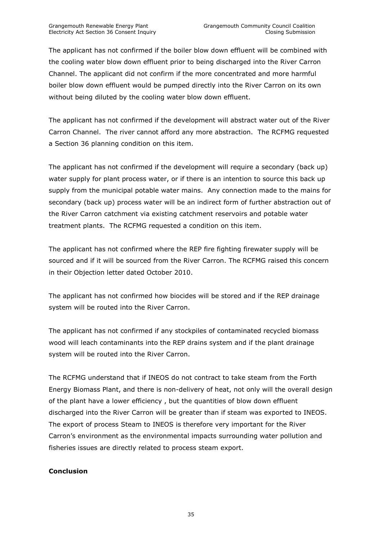The applicant has not confirmed if the boiler blow down effluent will be combined with the cooling water blow down effluent prior to being discharged into the River Carron Channel. The applicant did not confirm if the more concentrated and more harmful boiler blow down effluent would be pumped directly into the River Carron on its own without being diluted by the cooling water blow down effluent.

The applicant has not confirmed if the development will abstract water out of the River Carron Channel. The river cannot afford any more abstraction. The RCFMG requested a Section 36 planning condition on this item.

The applicant has not confirmed if the development will require a secondary (back up) water supply for plant process water, or if there is an intention to source this back up supply from the municipal potable water mains. Any connection made to the mains for secondary (back up) process water will be an indirect form of further abstraction out of the River Carron catchment via existing catchment reservoirs and potable water treatment plants. The RCFMG requested a condition on this item.

The applicant has not confirmed where the REP fire fighting firewater supply will be sourced and if it will be sourced from the River Carron. The RCFMG raised this concern in their Objection letter dated October 2010.

The applicant has not confirmed how biocides will be stored and if the REP drainage system will be routed into the River Carron.

The applicant has not confirmed if any stockpiles of contaminated recycled biomass wood will leach contaminants into the REP drains system and if the plant drainage system will be routed into the River Carron.

The RCFMG understand that if INEOS do not contract to take steam from the Forth Energy Biomass Plant, and there is non-delivery of heat, not only will the overall design of the plant have a lower efficiency , but the quantities of blow down effluent discharged into the River Carron will be greater than if steam was exported to INEOS. The export of process Steam to INEOS is therefore very important for the River Carron"s environment as the environmental impacts surrounding water pollution and fisheries issues are directly related to process steam export.

#### **Conclusion**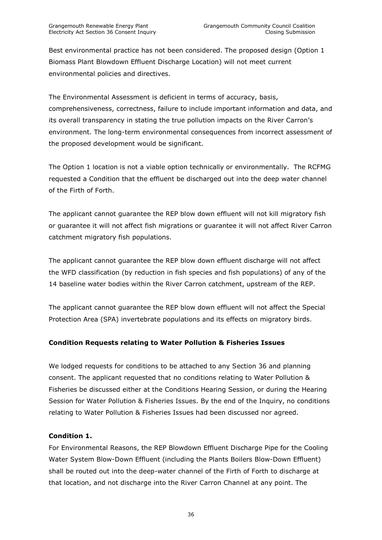Best environmental practice has not been considered. The proposed design (Option 1 Biomass Plant Blowdown Effluent Discharge Location) will not meet current environmental policies and directives.

The Environmental Assessment is deficient in terms of accuracy, basis, comprehensiveness, correctness, failure to include important information and data, and its overall transparency in stating the true pollution impacts on the River Carron"s environment. The long-term environmental consequences from incorrect assessment of the proposed development would be significant.

The Option 1 location is not a viable option technically or environmentally. The RCFMG requested a Condition that the effluent be discharged out into the deep water channel of the Firth of Forth.

The applicant cannot guarantee the REP blow down effluent will not kill migratory fish or guarantee it will not affect fish migrations or guarantee it will not affect River Carron catchment migratory fish populations.

The applicant cannot guarantee the REP blow down effluent discharge will not affect the WFD classification (by reduction in fish species and fish populations) of any of the 14 baseline water bodies within the River Carron catchment, upstream of the REP.

The applicant cannot guarantee the REP blow down effluent will not affect the Special Protection Area (SPA) invertebrate populations and its effects on migratory birds.

# **Condition Requests relating to Water Pollution & Fisheries Issues**

We lodged requests for conditions to be attached to any Section 36 and planning consent. The applicant requested that no conditions relating to Water Pollution & Fisheries be discussed either at the Conditions Hearing Session, or during the Hearing Session for Water Pollution & Fisheries Issues. By the end of the Inquiry, no conditions relating to Water Pollution & Fisheries Issues had been discussed nor agreed.

#### **Condition 1.**

For Environmental Reasons, the REP Blowdown Effluent Discharge Pipe for the Cooling Water System Blow-Down Effluent (including the Plants Boilers Blow-Down Effluent) shall be routed out into the deep-water channel of the Firth of Forth to discharge at that location, and not discharge into the River Carron Channel at any point. The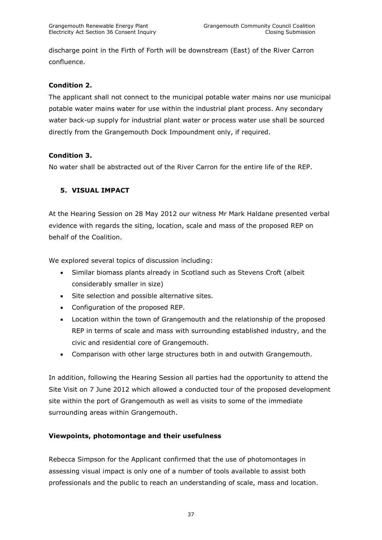discharge point in the Firth of Forth will be downstream (East) of the River Carron confluence.

# **Condition 2.**

The applicant shall not connect to the municipal potable water mains nor use municipal potable water mains water for use within the industrial plant process. Any secondary water back-up supply for industrial plant water or process water use shall be sourced directly from the Grangemouth Dock Impoundment only, if required.

# **Condition 3.**

No water shall be abstracted out of the River Carron for the entire life of the REP.

# <span id="page-36-0"></span>**5. VISUAL IMPACT**

At the Hearing Session on 28 May 2012 our witness Mr Mark Haldane presented verbal evidence with regards the siting, location, scale and mass of the proposed REP on behalf of the Coalition.

We explored several topics of discussion including:

- Similar biomass plants already in Scotland such as Stevens Croft (albeit considerably smaller in size)
- Site selection and possible alternative sites.
- Configuration of the proposed REP.
- Location within the town of Grangemouth and the relationship of the proposed REP in terms of scale and mass with surrounding established industry, and the civic and residential core of Grangemouth.
- Comparison with other large structures both in and outwith Grangemouth.

In addition, following the Hearing Session all parties had the opportunity to attend the Site Visit on 7 June 2012 which allowed a conducted tour of the proposed development site within the port of Grangemouth as well as visits to some of the immediate surrounding areas within Grangemouth.

#### **Viewpoints, photomontage and their usefulness**

Rebecca Simpson for the Applicant confirmed that the use of photomontages in assessing visual impact is only one of a number of tools available to assist both professionals and the public to reach an understanding of scale, mass and location.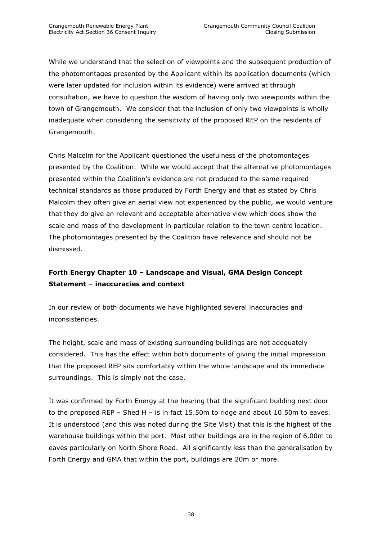While we understand that the selection of viewpoints and the subsequent production of the photomontages presented by the Applicant within its application documents (which were later updated for inclusion within its evidence) were arrived at through consultation, we have to question the wisdom of having only two viewpoints within the town of Grangemouth. We consider that the inclusion of only two viewpoints is wholly inadequate when considering the sensitivity of the proposed REP on the residents of Grangemouth.

Chris Malcolm for the Applicant questioned the usefulness of the photomontages presented by the Coalition. While we would accept that the alternative photomontages presented within the Coalition"s evidence are not produced to the same required technical standards as those produced by Forth Energy and that as stated by Chris Malcolm they often give an aerial view not experienced by the public, we would venture that they do give an relevant and acceptable alternative view which does show the scale and mass of the development in particular relation to the town centre location. The photomontages presented by the Coalition have relevance and should not be dismissed.

# **Forth Energy Chapter 10 – Landscape and Visual, GMA Design Concept Statement – inaccuracies and context**

In our review of both documents we have highlighted several inaccuracies and inconsistencies.

The height, scale and mass of existing surrounding buildings are not adequately considered. This has the effect within both documents of giving the initial impression that the proposed REP sits comfortably within the whole landscape and its immediate surroundings. This is simply not the case.

It was confirmed by Forth Energy at the hearing that the significant building next door to the proposed REP – Shed H – is in fact 15.50m to ridge and about 10.50m to eaves. It is understood (and this was noted during the Site Visit) that this is the highest of the warehouse buildings within the port. Most other buildings are in the region of 6.00m to eaves particularly on North Shore Road. All significantly less than the generalisation by Forth Energy and GMA that within the port, buildings are 20m or more.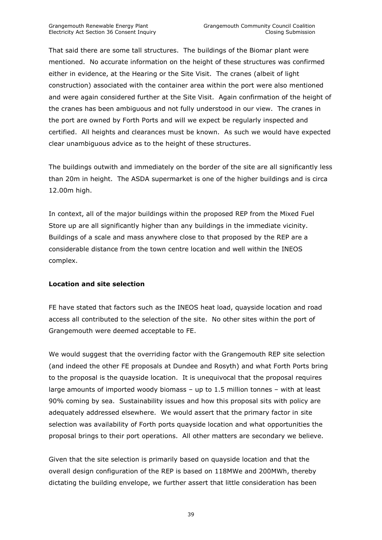That said there are some tall structures. The buildings of the Biomar plant were mentioned. No accurate information on the height of these structures was confirmed either in evidence, at the Hearing or the Site Visit. The cranes (albeit of light construction) associated with the container area within the port were also mentioned and were again considered further at the Site Visit. Again confirmation of the height of the cranes has been ambiguous and not fully understood in our view. The cranes in the port are owned by Forth Ports and will we expect be regularly inspected and certified. All heights and clearances must be known. As such we would have expected clear unambiguous advice as to the height of these structures.

The buildings outwith and immediately on the border of the site are all significantly less than 20m in height. The ASDA supermarket is one of the higher buildings and is circa 12.00m high.

In context, all of the major buildings within the proposed REP from the Mixed Fuel Store up are all significantly higher than any buildings in the immediate vicinity. Buildings of a scale and mass anywhere close to that proposed by the REP are a considerable distance from the town centre location and well within the INEOS complex.

#### **Location and site selection**

FE have stated that factors such as the INEOS heat load, quayside location and road access all contributed to the selection of the site. No other sites within the port of Grangemouth were deemed acceptable to FE.

We would suggest that the overriding factor with the Grangemouth REP site selection (and indeed the other FE proposals at Dundee and Rosyth) and what Forth Ports bring to the proposal is the quayside location. It is unequivocal that the proposal requires large amounts of imported woody biomass – up to 1.5 million tonnes – with at least 90% coming by sea. Sustainability issues and how this proposal sits with policy are adequately addressed elsewhere. We would assert that the primary factor in site selection was availability of Forth ports quayside location and what opportunities the proposal brings to their port operations. All other matters are secondary we believe.

Given that the site selection is primarily based on quayside location and that the overall design configuration of the REP is based on 118MWe and 200MWh, thereby dictating the building envelope, we further assert that little consideration has been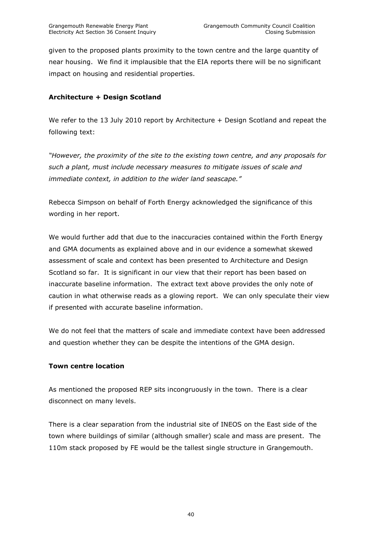given to the proposed plants proximity to the town centre and the large quantity of near housing. We find it implausible that the EIA reports there will be no significant impact on housing and residential properties.

# **Architecture + Design Scotland**

We refer to the 13 July 2010 report by Architecture + Design Scotland and repeat the following text:

*"However, the proximity of the site to the existing town centre, and any proposals for such a plant, must include necessary measures to mitigate issues of scale and immediate context, in addition to the wider land seascape."*

Rebecca Simpson on behalf of Forth Energy acknowledged the significance of this wording in her report.

We would further add that due to the inaccuracies contained within the Forth Energy and GMA documents as explained above and in our evidence a somewhat skewed assessment of scale and context has been presented to Architecture and Design Scotland so far. It is significant in our view that their report has been based on inaccurate baseline information. The extract text above provides the only note of caution in what otherwise reads as a glowing report. We can only speculate their view if presented with accurate baseline information.

We do not feel that the matters of scale and immediate context have been addressed and question whether they can be despite the intentions of the GMA design.

#### **Town centre location**

As mentioned the proposed REP sits incongruously in the town. There is a clear disconnect on many levels.

There is a clear separation from the industrial site of INEOS on the East side of the town where buildings of similar (although smaller) scale and mass are present. The 110m stack proposed by FE would be the tallest single structure in Grangemouth.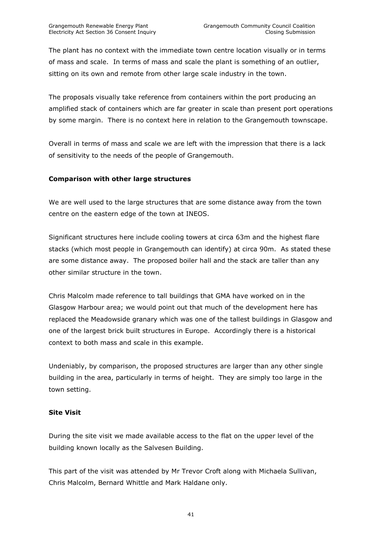The plant has no context with the immediate town centre location visually or in terms of mass and scale. In terms of mass and scale the plant is something of an outlier, sitting on its own and remote from other large scale industry in the town.

The proposals visually take reference from containers within the port producing an amplified stack of containers which are far greater in scale than present port operations by some margin. There is no context here in relation to the Grangemouth townscape.

Overall in terms of mass and scale we are left with the impression that there is a lack of sensitivity to the needs of the people of Grangemouth.

# **Comparison with other large structures**

We are well used to the large structures that are some distance away from the town centre on the eastern edge of the town at INEOS.

Significant structures here include cooling towers at circa 63m and the highest flare stacks (which most people in Grangemouth can identify) at circa 90m. As stated these are some distance away. The proposed boiler hall and the stack are taller than any other similar structure in the town.

Chris Malcolm made reference to tall buildings that GMA have worked on in the Glasgow Harbour area; we would point out that much of the development here has replaced the Meadowside granary which was one of the tallest buildings in Glasgow and one of the largest brick built structures in Europe. Accordingly there is a historical context to both mass and scale in this example.

Undeniably, by comparison, the proposed structures are larger than any other single building in the area, particularly in terms of height. They are simply too large in the town setting.

#### **Site Visit**

During the site visit we made available access to the flat on the upper level of the building known locally as the Salvesen Building.

This part of the visit was attended by Mr Trevor Croft along with Michaela Sullivan, Chris Malcolm, Bernard Whittle and Mark Haldane only.